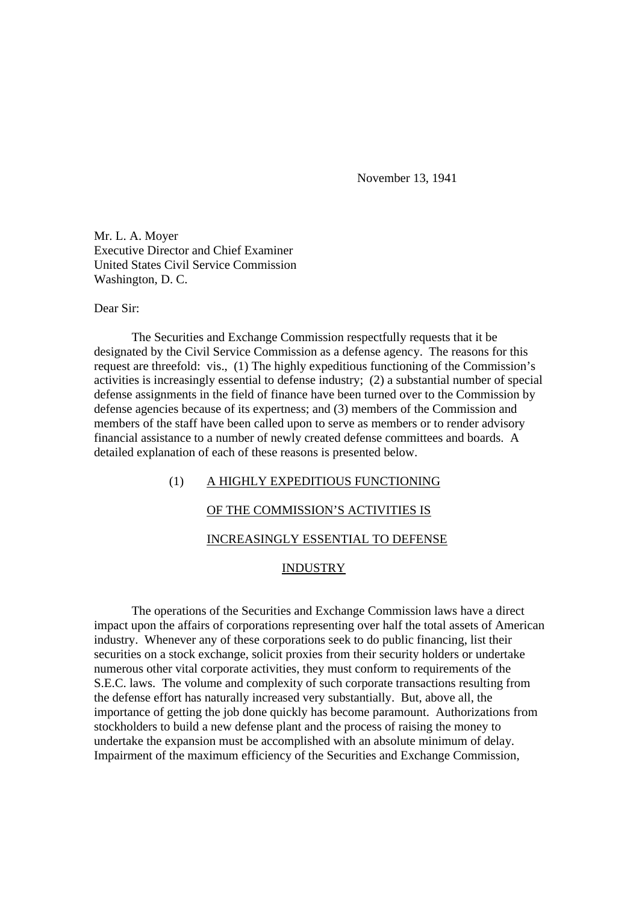November 13, 1941

Mr. L. A. Moyer Executive Director and Chief Examiner United States Civil Service Commission Washington, D. C.

#### Dear Sir:

The Securities and Exchange Commission respectfully requests that it be designated by the Civil Service Commission as a defense agency. The reasons for this request are threefold: vis., (1) The highly expeditious functioning of the Commission's activities is increasingly essential to defense industry; (2) a substantial number of special defense assignments in the field of finance have been turned over to the Commission by defense agencies because of its expertness; and (3) members of the Commission and members of the staff have been called upon to serve as members or to render advisory financial assistance to a number of newly created defense committees and boards. A detailed explanation of each of these reasons is presented below.

## (1) A HIGHLY EXPEDITIOUS FUNCTIONING

# OF THE COMMISSION'S ACTIVITIES IS

# INCREASINGLY ESSENTIAL TO DEFENSE

#### INDUSTRY

The operations of the Securities and Exchange Commission laws have a direct impact upon the affairs of corporations representing over half the total assets of American industry. Whenever any of these corporations seek to do public financing, list their securities on a stock exchange, solicit proxies from their security holders or undertake numerous other vital corporate activities, they must conform to requirements of the S.E.C. laws. The volume and complexity of such corporate transactions resulting from the defense effort has naturally increased very substantially. But, above all, the importance of getting the job done quickly has become paramount. Authorizations from stockholders to build a new defense plant and the process of raising the money to undertake the expansion must be accomplished with an absolute minimum of delay. Impairment of the maximum efficiency of the Securities and Exchange Commission,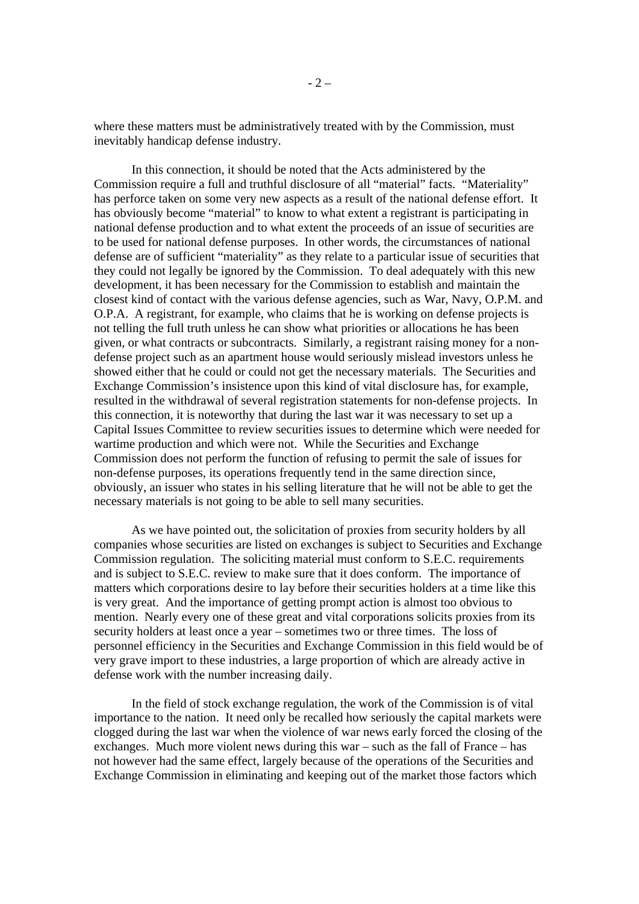where these matters must be administratively treated with by the Commission, must inevitably handicap defense industry.

In this connection, it should be noted that the Acts administered by the Commission require a full and truthful disclosure of all "material" facts. "Materiality" has perforce taken on some very new aspects as a result of the national defense effort. It has obviously become "material" to know to what extent a registrant is participating in national defense production and to what extent the proceeds of an issue of securities are to be used for national defense purposes. In other words, the circumstances of national defense are of sufficient "materiality" as they relate to a particular issue of securities that they could not legally be ignored by the Commission. To deal adequately with this new development, it has been necessary for the Commission to establish and maintain the closest kind of contact with the various defense agencies, such as War, Navy, O.P.M. and O.P.A. A registrant, for example, who claims that he is working on defense projects is not telling the full truth unless he can show what priorities or allocations he has been given, or what contracts or subcontracts. Similarly, a registrant raising money for a nondefense project such as an apartment house would seriously mislead investors unless he showed either that he could or could not get the necessary materials. The Securities and Exchange Commission's insistence upon this kind of vital disclosure has, for example, resulted in the withdrawal of several registration statements for non-defense projects. In this connection, it is noteworthy that during the last war it was necessary to set up a Capital Issues Committee to review securities issues to determine which were needed for wartime production and which were not. While the Securities and Exchange Commission does not perform the function of refusing to permit the sale of issues for non-defense purposes, its operations frequently tend in the same direction since, obviously, an issuer who states in his selling literature that he will not be able to get the necessary materials is not going to be able to sell many securities.

As we have pointed out, the solicitation of proxies from security holders by all companies whose securities are listed on exchanges is subject to Securities and Exchange Commission regulation. The soliciting material must conform to S.E.C. requirements and is subject to S.E.C. review to make sure that it does conform. The importance of matters which corporations desire to lay before their securities holders at a time like this is very great. And the importance of getting prompt action is almost too obvious to mention. Nearly every one of these great and vital corporations solicits proxies from its security holders at least once a year – sometimes two or three times. The loss of personnel efficiency in the Securities and Exchange Commission in this field would be of very grave import to these industries, a large proportion of which are already active in defense work with the number increasing daily.

In the field of stock exchange regulation, the work of the Commission is of vital importance to the nation. It need only be recalled how seriously the capital markets were clogged during the last war when the violence of war news early forced the closing of the exchanges. Much more violent news during this war – such as the fall of France – has not however had the same effect, largely because of the operations of the Securities and Exchange Commission in eliminating and keeping out of the market those factors which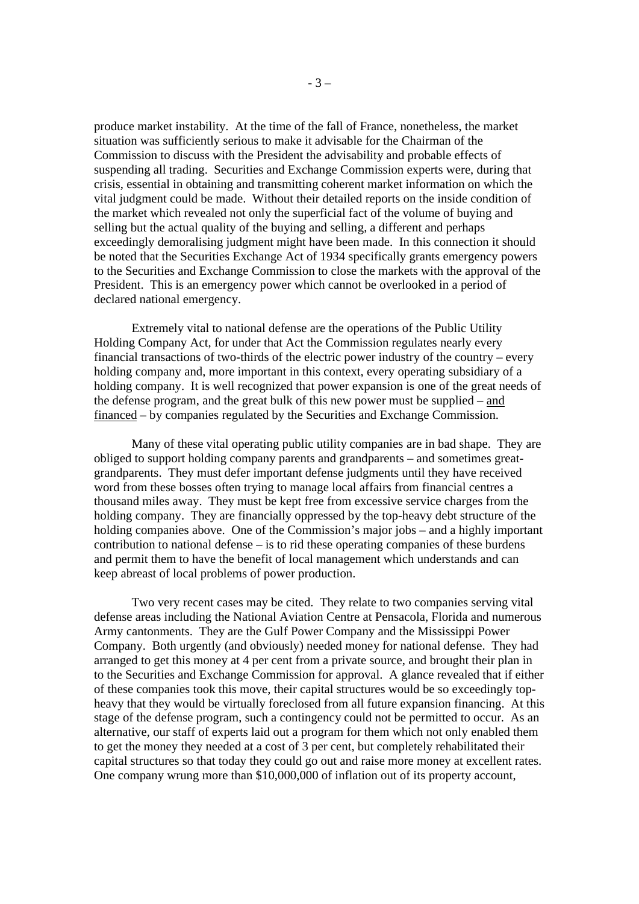produce market instability. At the time of the fall of France, nonetheless, the market situation was sufficiently serious to make it advisable for the Chairman of the Commission to discuss with the President the advisability and probable effects of suspending all trading. Securities and Exchange Commission experts were, during that crisis, essential in obtaining and transmitting coherent market information on which the vital judgment could be made. Without their detailed reports on the inside condition of the market which revealed not only the superficial fact of the volume of buying and selling but the actual quality of the buying and selling, a different and perhaps exceedingly demoralising judgment might have been made. In this connection it should be noted that the Securities Exchange Act of 1934 specifically grants emergency powers to the Securities and Exchange Commission to close the markets with the approval of the President. This is an emergency power which cannot be overlooked in a period of declared national emergency.

Extremely vital to national defense are the operations of the Public Utility Holding Company Act, for under that Act the Commission regulates nearly every financial transactions of two-thirds of the electric power industry of the country – every holding company and, more important in this context, every operating subsidiary of a holding company. It is well recognized that power expansion is one of the great needs of the defense program, and the great bulk of this new power must be supplied – and financed – by companies regulated by the Securities and Exchange Commission.

Many of these vital operating public utility companies are in bad shape. They are obliged to support holding company parents and grandparents – and sometimes greatgrandparents. They must defer important defense judgments until they have received word from these bosses often trying to manage local affairs from financial centres a thousand miles away. They must be kept free from excessive service charges from the holding company. They are financially oppressed by the top-heavy debt structure of the holding companies above. One of the Commission's major jobs – and a highly important contribution to national defense – is to rid these operating companies of these burdens and permit them to have the benefit of local management which understands and can keep abreast of local problems of power production.

Two very recent cases may be cited. They relate to two companies serving vital defense areas including the National Aviation Centre at Pensacola, Florida and numerous Army cantonments. They are the Gulf Power Company and the Mississippi Power Company. Both urgently (and obviously) needed money for national defense. They had arranged to get this money at 4 per cent from a private source, and brought their plan in to the Securities and Exchange Commission for approval. A glance revealed that if either of these companies took this move, their capital structures would be so exceedingly topheavy that they would be virtually foreclosed from all future expansion financing. At this stage of the defense program, such a contingency could not be permitted to occur. As an alternative, our staff of experts laid out a program for them which not only enabled them to get the money they needed at a cost of 3 per cent, but completely rehabilitated their capital structures so that today they could go out and raise more money at excellent rates. One company wrung more than \$10,000,000 of inflation out of its property account,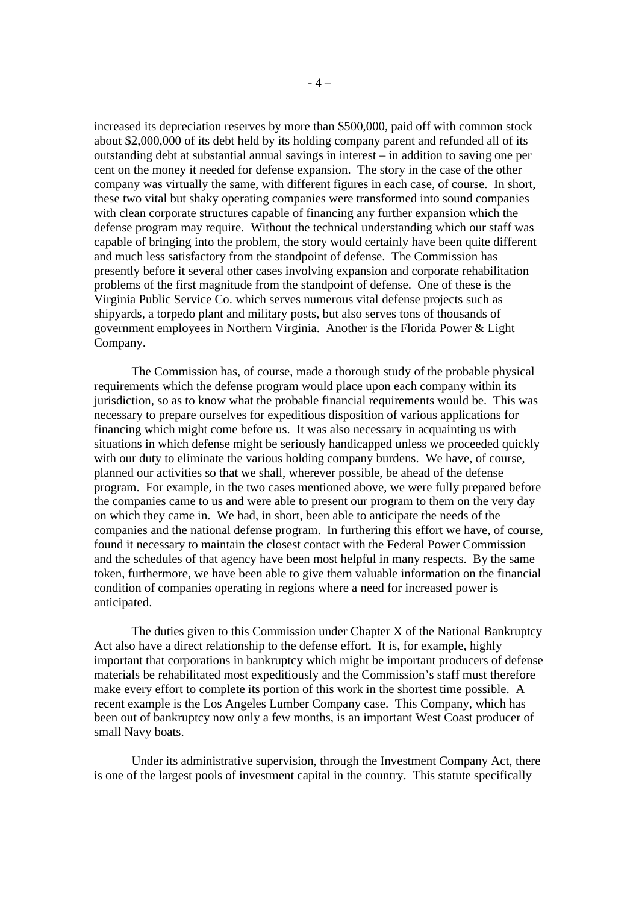increased its depreciation reserves by more than \$500,000, paid off with common stock about \$2,000,000 of its debt held by its holding company parent and refunded all of its outstanding debt at substantial annual savings in interest – in addition to saving one per cent on the money it needed for defense expansion. The story in the case of the other company was virtually the same, with different figures in each case, of course. In short, these two vital but shaky operating companies were transformed into sound companies with clean corporate structures capable of financing any further expansion which the defense program may require. Without the technical understanding which our staff was capable of bringing into the problem, the story would certainly have been quite different and much less satisfactory from the standpoint of defense. The Commission has presently before it several other cases involving expansion and corporate rehabilitation problems of the first magnitude from the standpoint of defense. One of these is the Virginia Public Service Co. which serves numerous vital defense projects such as shipyards, a torpedo plant and military posts, but also serves tons of thousands of government employees in Northern Virginia. Another is the Florida Power & Light Company.

The Commission has, of course, made a thorough study of the probable physical requirements which the defense program would place upon each company within its jurisdiction, so as to know what the probable financial requirements would be. This was necessary to prepare ourselves for expeditious disposition of various applications for financing which might come before us. It was also necessary in acquainting us with situations in which defense might be seriously handicapped unless we proceeded quickly with our duty to eliminate the various holding company burdens. We have, of course, planned our activities so that we shall, wherever possible, be ahead of the defense program. For example, in the two cases mentioned above, we were fully prepared before the companies came to us and were able to present our program to them on the very day on which they came in. We had, in short, been able to anticipate the needs of the companies and the national defense program. In furthering this effort we have, of course, found it necessary to maintain the closest contact with the Federal Power Commission and the schedules of that agency have been most helpful in many respects. By the same token, furthermore, we have been able to give them valuable information on the financial condition of companies operating in regions where a need for increased power is anticipated.

The duties given to this Commission under Chapter X of the National Bankruptcy Act also have a direct relationship to the defense effort. It is, for example, highly important that corporations in bankruptcy which might be important producers of defense materials be rehabilitated most expeditiously and the Commission's staff must therefore make every effort to complete its portion of this work in the shortest time possible. A recent example is the Los Angeles Lumber Company case. This Company, which has been out of bankruptcy now only a few months, is an important West Coast producer of small Navy boats.

Under its administrative supervision, through the Investment Company Act, there is one of the largest pools of investment capital in the country. This statute specifically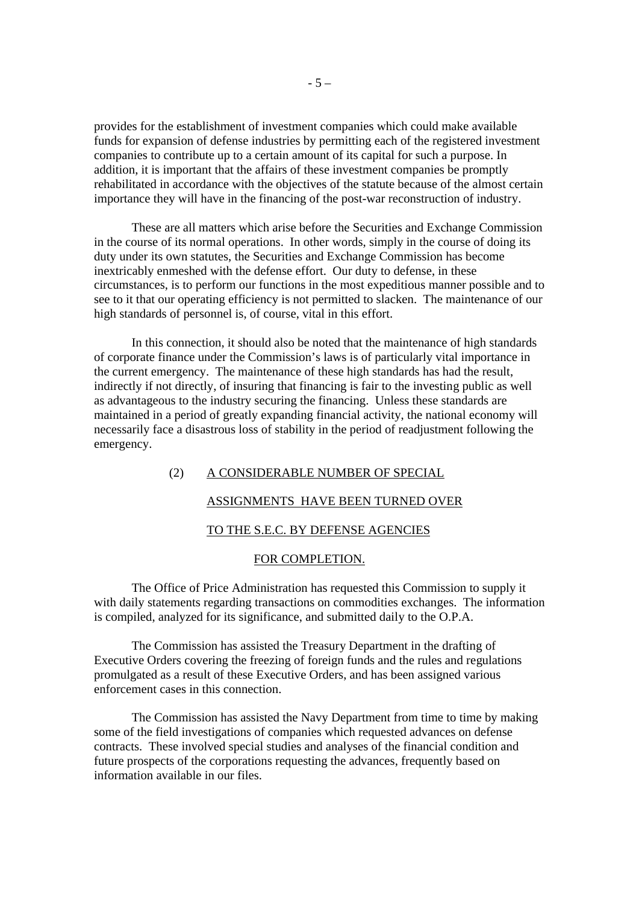provides for the establishment of investment companies which could make available funds for expansion of defense industries by permitting each of the registered investment companies to contribute up to a certain amount of its capital for such a purpose. In addition, it is important that the affairs of these investment companies be promptly rehabilitated in accordance with the objectives of the statute because of the almost certain importance they will have in the financing of the post-war reconstruction of industry.

These are all matters which arise before the Securities and Exchange Commission in the course of its normal operations. In other words, simply in the course of doing its duty under its own statutes, the Securities and Exchange Commission has become inextricably enmeshed with the defense effort. Our duty to defense, in these circumstances, is to perform our functions in the most expeditious manner possible and to see to it that our operating efficiency is not permitted to slacken. The maintenance of our high standards of personnel is, of course, vital in this effort.

In this connection, it should also be noted that the maintenance of high standards of corporate finance under the Commission's laws is of particularly vital importance in the current emergency. The maintenance of these high standards has had the result, indirectly if not directly, of insuring that financing is fair to the investing public as well as advantageous to the industry securing the financing. Unless these standards are maintained in a period of greatly expanding financial activity, the national economy will necessarily face a disastrous loss of stability in the period of readjustment following the emergency.

## (2) A CONSIDERABLE NUMBER OF SPECIAL

#### ASSIGNMENTS HAVE BEEN TURNED OVER

## TO THE S.E.C. BY DEFENSE AGENCIES

#### FOR COMPLETION.

The Office of Price Administration has requested this Commission to supply it with daily statements regarding transactions on commodities exchanges. The information is compiled, analyzed for its significance, and submitted daily to the O.P.A.

The Commission has assisted the Treasury Department in the drafting of Executive Orders covering the freezing of foreign funds and the rules and regulations promulgated as a result of these Executive Orders, and has been assigned various enforcement cases in this connection.

The Commission has assisted the Navy Department from time to time by making some of the field investigations of companies which requested advances on defense contracts. These involved special studies and analyses of the financial condition and future prospects of the corporations requesting the advances, frequently based on information available in our files.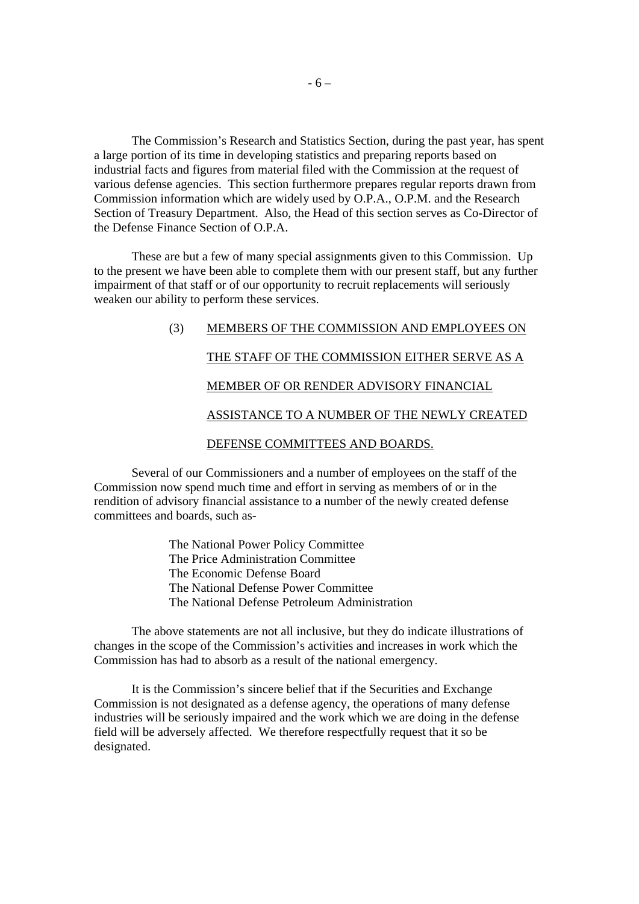The Commission's Research and Statistics Section, during the past year, has spent a large portion of its time in developing statistics and preparing reports based on industrial facts and figures from material filed with the Commission at the request of various defense agencies. This section furthermore prepares regular reports drawn from Commission information which are widely used by O.P.A., O.P.M. and the Research Section of Treasury Department. Also, the Head of this section serves as Co-Director of the Defense Finance Section of O.P.A.

These are but a few of many special assignments given to this Commission. Up to the present we have been able to complete them with our present staff, but any further impairment of that staff or of our opportunity to recruit replacements will seriously weaken our ability to perform these services.

# (3) MEMBERS OF THE COMMISSION AND EMPLOYEES ON THE STAFF OF THE COMMISSION EITHER SERVE AS A MEMBER OF OR RENDER ADVISORY FINANCIAL ASSISTANCE TO A NUMBER OF THE NEWLY CREATED DEFENSE COMMITTEES AND BOARDS.

Several of our Commissioners and a number of employees on the staff of the Commission now spend much time and effort in serving as members of or in the rendition of advisory financial assistance to a number of the newly created defense committees and boards, such as-

> The National Power Policy Committee The Price Administration Committee The Economic Defense Board The National Defense Power Committee The National Defense Petroleum Administration

The above statements are not all inclusive, but they do indicate illustrations of changes in the scope of the Commission's activities and increases in work which the Commission has had to absorb as a result of the national emergency.

It is the Commission's sincere belief that if the Securities and Exchange Commission is not designated as a defense agency, the operations of many defense industries will be seriously impaired and the work which we are doing in the defense field will be adversely affected. We therefore respectfully request that it so be designated.